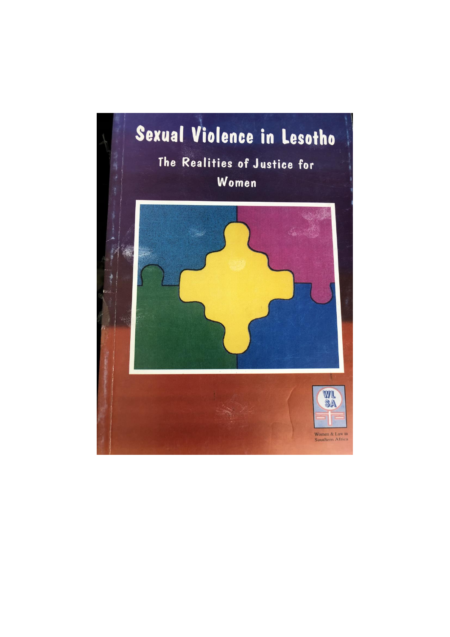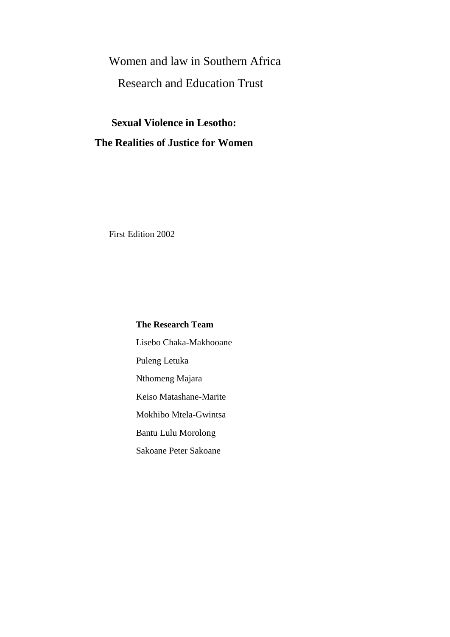## Women and law in Southern Africa

## Research and Education Trust

## **Sexual Violence in Lesotho: The Realities of Justice for Women**

First Edition 2002

**The Research Team** Lisebo Chaka-Makhooane Puleng Letuka Nthomeng Majara Keiso Matashane-Marite Mokhibo Mtela-Gwintsa Bantu Lulu Morolong Sakoane Peter Sakoane